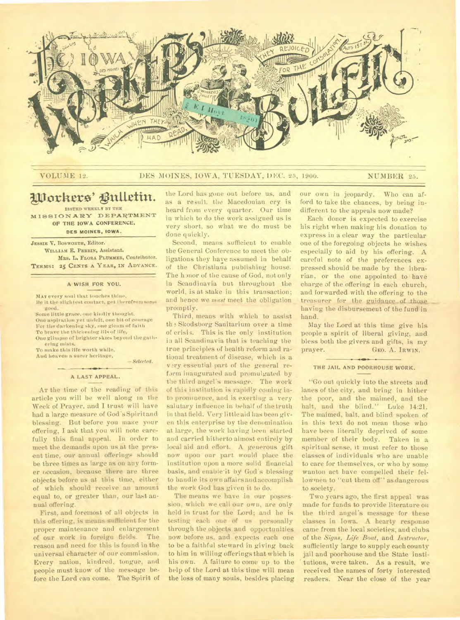

## VOLUME 12. DES MOINES, IOWA, TUESDAY, DEC. 25, 1900. NUMBER 25.

# Workers' Bulletin.

**ISSUED WEEKLY BY THE MISSIONARY DEPARTMENT OF THE IOWA CONFERENCE,** 

# DES MOINES, IOWA.

**JESSIE V.** BosWORTH. Editor. **WILLIAM** E. **PERRIN,** Assistant. **MRS.** L. **FLORA PLUMMER,** Contributor. TERMS: 25 CENTS A YEAR, IN ADVANCE.

## **A WISH FOR YOU.**

MAY every soul that louches thine. Ile it the slightest contact, get therefrom some good.

Some little grace. one kindly thought. One aspiration yet unfelt, one bit of courage For the darkening sky, one gleam of faith

To brave the thickening ills of life, One glimpse of brighter skies beyond the gathering mists.

To make this life worth while,

And heaven a surer heritage.

*— Selected.* 

### **A LAST APPEAL.**

AT the time of the reading of this article you will be well along in the Week of Prayer, and I trust will have had a large measure of God 's Spiritand blessing. But before you make your offering, I ask that you will note carefully this final appeal. In order to meet the demands upon us at the present time, our annual offerings should be three times as large as on any former occasion, because there are three objects before us at this time, either of which should receive an amount equal to, or greater than, our last annual offering.

First, and foremost of all objects in this offering, is means sufficient for the proper maintenance and enlargement of our work in foreign fields. The reason and need for this is found in the universal character of our commission. Every nation, kindred, tongue, and people must know of the message before the Lord can come. The Spirit of

the Lord has gone out before us, and as a result. the Macedonian cry is heard from every quarter. Our time in which to do the work assigned us is very short, so what we do must be done quickly.

Second, means sufficient to enable the General Conference to meet the obligations they have assumed in behalf of the Christiana publishing house. The honor of the cause of God, not only in Scandinavia but throughout the world, is at stake in this transaction; and hence we *must* meet the obligation promptly.

Third, means with which to assist th 3 Skodsborg Sanitarium over a time of crisis. This is the only institution in all Scandinavia that is teaching the true principles of health reform and rational treatment of disease, which is a vary essential part of the general reform inaugurated and promulgated by the third angel's message. The work of this institution is rapidly coming into prominence, and is exerting a very salutary influence in behalf of the truth in that field. Very little aid has been given this enterprise by the denomination at large, the work having been started and carried hitherto almost entirely by local aid and effort. A generous gift now upon our part would place the institution upon a more solid financial basis, and enable-it by God's blessing to handle its own affairs andaccomplish the work God has given it to do.

The means we have in our possession, which we call our own, are only held in trust for the Lord; and he is testing each one of us personally through the objects and opportunities now before us, and expects each one to be a faithful steward in giving back to him in willing offerings that which is his own. A failure to come up to the help of the Lord at this time will mean the loss of many souls, besides placing our own in jeopardy. Who can afford to take the chances, by being indifferent to the appeals now made?

Each donor is expected to exercise his right when making his donation to express in a clear way the particular one of the foregoing objects he wishes especially to aid by his offering. A careful note of the preferences expressed should be made by the librarian, or the one appointed to have charge of the offering in each church, and forwarded with the offering to the treasurer for the guidance of those having the disbursement of the fund in hand.

May the Lord at this time give his people a spirit of liberal giving, and bless both the givers and gifts, is my prayer. GEO. A. IRWIN.

### THE **JAIL AND POORHOUSE WORK.**

"Go out quickly into the streets and lanes of the city, and bring in hither the poor, and the maimed, and the halt, and the blind." Luke 14:21. The maimed, halt, and blind spoken of in this text do not mean those who have been literally deprived of some member of their body. Taken in a spiritual sense, it must refer to those classes of individuals who are unable to care for themselves, or who by some wanton act have compelled their fellowmen to "cut them off" as dangerous to society.

Two years ago, the first appeal was made for funds to provide literature on the third angel's message for these classes in Iowa. A hearty response came from the local societies; and clubs of the *Signs, Life Boat,* and *Instructor,*  sufficiently large to supply each county jail and poorhouse and the State institutions, were taken. As a result, we received the names of forty interested readers. Near the close of the year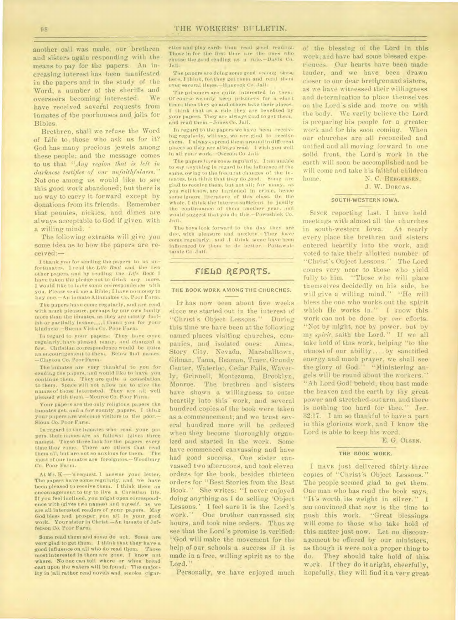another call was made, our brethren and sisters again responding with the means to pay for the papers. An increasing interest has been manifested in the papers and in the study of the Word, a number of the **sheriffs and**  overseers becoming interested. **have received several requests from inmates of the poorhouses and jails for Bibles.** 

**Brethren, shall we refuse the Word of Life to, those who ask us for it? God has many precious jewels among these people; and** the message comes to **us that "Any region that is left** *in darkness testifies of our unfaithfulness."*  **Not one among us would like to see this good work** abandoned; but there is no way to carry it forward except by donations from its friends. Remember that pennies, nickles, and **dimes are always acceptable to God if given with a willing mind.** 

**The following extracts will give you some idea as to how the papers are received:—** 

I thank you for sending the papers to us unfortunates. I read the Life Boat and the two other papers, and by reading the *Life Boat* I have taken the pledge not to drink any more. I would like to have some correspondence with you. Please send me a Bible; I have no money to buy one.—An inmate Allamakee Co. Poor Farm.

The papers have come regularly, and *are* read with much pleasure, perhaps by our own family more than the inmates, as they are mostly foolish.or partially insane....I thank you for your kInduess.—Buena Vista Co. Poor Farm.

In regard to your papers: They have come regularly, hitve pleased many, and changed *a*  few. Christian correspondence would be quite an encouragement to them, Below find names. —Clayton Co. Poor Farm.

The inmates are very thankful to you for sending the papers, and would like to have you continue them. They *are* quite a consolation to them. Space will not allow me to give the names of those Interested. They are all well pleased with theni.—Monroe Co. Poor Farm.

Your papers are the only religious papers the inmates get, and a few county papers. I think<br>your papers are welcome visitors to the poor.— Sioux Co. Poor Farm.

In regard to the Inmates who read your papers, their names are as follows: (gives three names). These three look for the papers every time they come. There are others that read them all, but are not so anxious for them: The most of our inmates are foreigners.—Woodbury CO. Poor Farm.

At Mr. K—'s request. I answer your letter. The papers have come regularly, and we have been pleased to receive them. I think them an -encouragement to try to live a Christian life. If you feel inclined, you might open correspondence with (glies two names) and myself, as we are all interested readers of your papers. *May*  God bless and prosper you *ail in* your good work. Your sister in Christ.—An Inmate of Jefferson Co. Poor Farm.

Some read them and some do not. Some are very glad to get them. I think that they have a good influence on all who do read them. Those most interested in them are gone. I know not where. No one can tell where or when bread cast upon the waters will be found: The majority in jail rather read novels and smoke cigarettes and play cards than read good reading. Those in for the first time are the ones who choose the good reading as a rule.—Davis Co. Jail.

The papers are doing some good among those here, I think, for. they get them and read thrill over several Unies.—Hancock Co..1ah i.

The prisoners are quite interested in them. Of course we only keep prisoners for a short time; then they go and others take their places. I think that as a rule they are benefited by your papers. They are always glad to get them, and read them—Jones Co. Jail.

In regard to the papers we have been receiv-Ingregularly, will say, we are glad to reeelye them. I always spread them around in different places so they are always read. I wish you well in all your work.—Osceola Co. Jail.

The papers have come regularly. I am unable to say anything in regard to the influence of the same, owing to the frequent changes of the inmates. but think that they do good. Some are glad to receive them, but not all; for many, as you well know. are hardened in crime, **hence**  some ignore literature of this class. On the whole. I think the Interest sufficient to justify the continuance of them another year. and would suggest that you do this.—Poweshiek Co. Jail.

The boys look forward to the day they are due, with pleasure and unxlety. They have come regularly. and .1 think some have been influenced by them to do better.—Pottawattarnie Co. Jail.

## **FIELM REPORTS.**

#### THE BOOK WORK AMONG THE CHURCHES.

IT has now been about five weeks since we started out in the interest of "Christ's Object Lessons." During this time we have been at the following named places visiting churches, companies, and isolated ones: . Ames, Story City, Nevada, Marshalltown, Gilman, Tama, Beaman, Traer, Grundy Center, Waterloo, Cedar Falls, Waverly, Grinnell, Montezuma, Brooklyn, Monroe. The brethren and sisters have shown a willingness to enter heartily into this work, and several hundred copies of the book were taken as a commencement; and we trust several hundred more will be ordered when they become thoroughly organized and started in the work. Some have commenced canvassing and have had good success. One sister canvassed two afternoons, and took eleven orders for the book, besides thirteen orders for "Best Stories from the Best Book." She writes: "I never enjoyed doing anything as **I** do selling 'Object Lessons.' I feel sure it is the Lord's<br>work.'' One brother canvassed six One brother canvassed six hours, and took nine orders. Thus we see that the Lord's promise is verified: "God will make the movement for the help of our schools a success if it is made in a free, willing spirit as to the Lord."

Personally, we have enjoyed much

of the blessing of the Lord in this work ;and have had some blessed experiences. Our hearts have been made tender, and we have, been drawn closer to our dear brethren and sisters, as we have witnessed their willingness and determination to place themselves on the Lord's side and move on with the body. We verily believe the Lord is preparing his people for a greater work and for his soon coming. When our churches are all reconciled and unified and all moving forward in one solid front, the Lord's work in the earth will soon be accomplished and he will come and take his faithful children home. N. C. BERGERSEN,

**J.** W. DORCAS.

#### SOUTH-WESTERN IOWA.

SINCE reporting last. I have held meetings with almost all the churches in south-western Iowa. At nearly every place the brethren and sisters entered heartily into the work, and voted to take their allotted number of "Christ's Object Lessons." The Lord comes very near to those who yield fully to him. "Those who will place themselves decidedly on his side, be will give a willing mind." "He will bless the one who works out the spirit which He works in." **I** know this work can not be done by *our* efforts. "Not by might, nor by power, but by *my spirit,* saith the Lord." If we all take hold of this work, helping "to the utmost of our ability.... by sanctified energy and much prayer, we shall see the glory of God." "Ministering angels will be round about the workers." "Ah Lord God! behold, thou hast made the heaven and the earth by thy great power and stretched-out arm, and there is nothing too hard for Jer. is nothing too hard for thee. Fer.<br>32:17. I am so thankful to have a part in this glorious work, and I know the Lord is able to keep his word.

E. G. OLSEN.

## THE BOOK WORK.

I HAVE just delivered thirty-three copies of "Christ's Object Lessons." The people seemed glad to get them. One man who has read the book says, "It's worth its weight in silver." I am convinced.that now is the time to push this work. "Great blessings will come to those who take hold of this matter just now. Let no discouragement be offered by our ministers, as though it were not a proper thing to do. They should take hold of this wJrk. If they do it aright, cheerfully, hopefully, they will find it a very great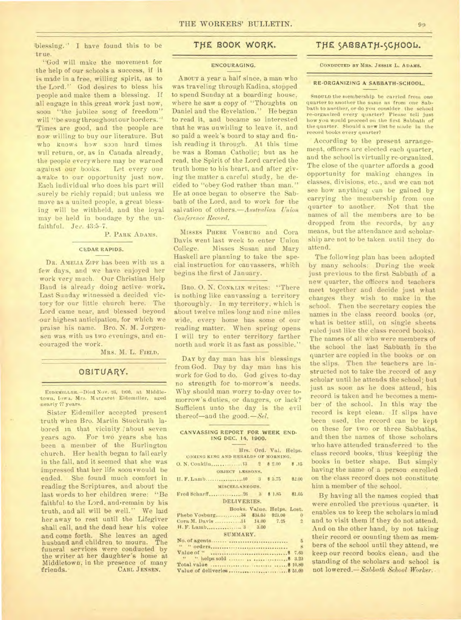blessing." I have found this to be true.

"God will make the movement for the help of our schools a success, if it is made in a free, willing spirit, as to the Lord." God desires to bless his people and make them a blessing. If :all engage in this great work just now, soon "the jubilee song of freedom" will "be sung throughout our borders." 'Times are good, and the people are now willing to buy our literature. But who knows how soon hard times will return, or, as in Canada already, the people everywhere may be warned .against our books. Let every one awake to our opportunity just now. Each individual who does his part will .surely be richly repaid; but unless we move as a united people, a great blessing will be withheld, and the loyal may be held in bondage by the unfaithful. Jee. 43:5-7.

## P. PARK ADAMS.

#### CEDAR RAPIDS.

DR. AMELIA ZIPF has been with us a few days, and we have enjoyed her work very much. Our Christian Help Band is already doing active. work. Last Sunday witnessed a decided victory for our little church here. The Lord came near, and blessed beyond our highest anticipation, for which we praise his name. Bro. N. M. Jorgensen was with us two evenings, and encouraged the work.

MRS. M. L. FIELD.

## **OBITUARY.**

**EIDEMILLER.—Died** Nov. 28, 1900. at Middletown, Iowa. Mrs. Margaret Eidemiller, aged nearly 77 years.

Sister Eidemiller accepted present -truth when Bro. Martin Stuckrath labored in that vicinity ; about seven years ago. For two years she has been a member of the Burlington -church. Her health began to fail early in the fall, and it seemed that she was impressed that her life soon **would** be ended. She found much comfort in reading the Scriptures, and about the last words to her children were: "Be faithful to the Lord, and remain by his truth, and all will be well." We laid her away to rest until the Lifegiver shall call, and the dead hear his voice and come forth. She leaves an aged<br>husband and children to mourn. The husband and children, to mourn. funeral services were conducted by the writer at her daughter's home at Middletown, in the presence of many<br>friends. CARL JENSEN. CARL JENSEN.

## **TtiE BOOK WORK.**

#### ENCOURAGING.

ABOUT a year a half since, a man who was traveling through Kadina, stopped to spend Sunday at a boarding house:, where he saw a copy of "Thoughts on Daniel and the Revelation." He began to read it, and became so interested that he was unwilling to leave it, and so paid a week's board to stay and finish reading it through. At this time he was a Roman Catholic; but as he read, the Spirit of the Lord carried the truth home to his heart, and after giving the matter a careful study, he decided to "obey God rather than man." He at once began to observe the Sabbath of the Lord, and to work for the salvation of *others.—Australian Union Conference Record.* 

MISSES PHEBE VOSBURG and Cora Davis went last week to enter Union College. Misses Susan and Mary Haskell are planning to take the special instruction for canvassers, whith begins the first of January.

Bao. 0. N. CONKLIN writes: "There is nothing like canvassing a territory thoroughly. In my territory, which is about twelve miles long and nine miles wide, every home has some of our reading matter. When spring opens I will try to enter territory farther north and work it as fast as possible."

DAY by day man has his blessings from God. Day by day man has his work for God to do. God gives to-day no strength for to-morrow's needs. Why should man worry to-day over tomorrow's duties, or dangers, or lack? Sufficient unto the day is the evil thereof—and the *good.—Sel.* 

#### CANVASSING REPORT FOR WEEK END-ING DEC. 14, 1900.

| Hrs. Ord. Val. Helps.<br>COMING KING AND HERALDS OF MORNING. |                            |  |                |  |
|--------------------------------------------------------------|----------------------------|--|----------------|--|
|                                                              |                            |  |                |  |
|                                                              |                            |  |                |  |
| OBJECT LESSONS.                                              |                            |  |                |  |
|                                                              |                            |  | 82.00          |  |
| MISCELLANEOUS.                                               |                            |  |                |  |
|                                                              |                            |  | \$1.05         |  |
| DELIVERIES.                                                  |                            |  |                |  |
|                                                              | Books. Value. Helps. Lost. |  |                |  |
| Phebe Vosburg34 \$34.00 \$23.00 0                            |                            |  |                |  |
| Cora M. Davis 14 14.00 7.25                                  |                            |  | $\overline{2}$ |  |
| H. F. Lamb 3 3.00                                            |                            |  |                |  |
| SUMMARY.                                                     |                            |  |                |  |
|                                                              |                            |  | 5              |  |
|                                                              |                            |  | 8              |  |
|                                                              |                            |  |                |  |
|                                                              |                            |  |                |  |
|                                                              |                            |  |                |  |

Value of deliveries \$ 51.00

## THE SABBATH-SCHOOL.

**CONDUCTED BY MRS. JESSIE** L. **ADAMS.** 

#### RE-ORGANIZING A SABBATH-SCHOOL.

SHOULD the membership be carried from one quarter to another the same as from one Sabbath to another, **or** do you consider the school re-organized every quarter? Please tell just how you would proceed on the first Sabbath of the quarter. Should a new list he made In the record books every quarter?

' According to the present arrangement, officers are elected each quarter, and the school is virtually re-organized. The close of the quarter affords a good opportunity for making changes in classes, divisions, etc., and we can not see how anything can be gained by carrying the membership from one quarter to another. Not that the names of all the members are to be dropped from the records, by any means, but the attendance and scholarship are not to be taken until they do attend.

The following plan has been adopted by many schools: During the week just previous to the first. Sabbath of a new quarter, the officers and teachers meet together and decide just what changes they wish to make in the school. Then the secretary copies the names in the class record books (or, what is better still, on single sheets ruled-just like the class record books). The names of all who were members of the school the last Sabbath in the quarter are copied in the books or on the slips. Then the teachers are instructed not to take the .record of any scholar until he attends the school; but just as soon as he does attend, his record is taken and he becomes a member of the school. In this way the record is kept clean. If slips have been used, the record can be kept on these for two or three Sabbaths, and then the names of those scholars who have attended transferred to the class record books, thus keeping the books in better shape. But simply having the name of a person enrolled on the class record does not constitute him a member of the school.

By having all the names copied that were enrolled the previous quarter. it enables us to keep the scholars in mind and to visit them if they do not-attend. And on the other hand, by not taking their record or counting them-as members of the school until they attend, we keep our record books clean, and the standing of the scholars and school is not lowered.= *Sabbath School Worker. •*